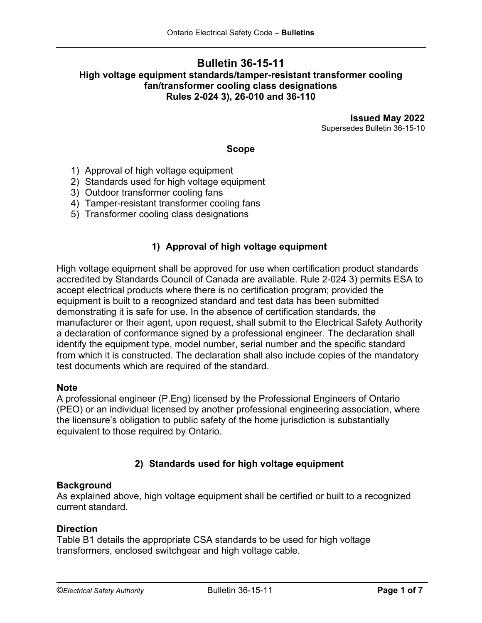## **Bulletin 36-15-11 High voltage equipment standards/tamper-resistant transformer cooling fan/transformer cooling class designations Rules 2-024 3), 26-010 and 36-110**

**Issued May 2022** Supersedes Bulletin 36-15-10

#### **Scope**

- 1) Approval of high voltage equipment
- 2) Standards used for high voltage equipment
- 3) Outdoor transformer cooling fans
- 4) Tamper-resistant transformer cooling fans
- 5) Transformer cooling class designations

#### **1) Approval of high voltage equipment**

High voltage equipment shall be approved for use when certification product standards accredited by Standards Council of Canada are available. Rule 2-024 3) permits ESA to accept electrical products where there is no certification program; provided the equipment is built to a recognized standard and test data has been submitted demonstrating it is safe for use. In the absence of certification standards, the manufacturer or their agent, upon request, shall submit to the Electrical Safety Authority a declaration of conformance signed by a professional engineer. The declaration shall identify the equipment type, model number, serial number and the specific standard from which it is constructed. The declaration shall also include copies of the mandatory test documents which are required of the standard.

#### **Note**

A professional engineer (P.Eng) licensed by the Professional Engineers of Ontario (PEO) or an individual licensed by another professional engineering association, where the licensure's obligation to public safety of the home jurisdiction is substantially equivalent to those required by Ontario.

## **2) Standards used for high voltage equipment**

#### **Background**

As explained above, high voltage equipment shall be certified or built to a recognized current standard.

#### **Direction**

Table B1 details the appropriate CSA standards to be used for high voltage transformers, enclosed switchgear and high voltage cable.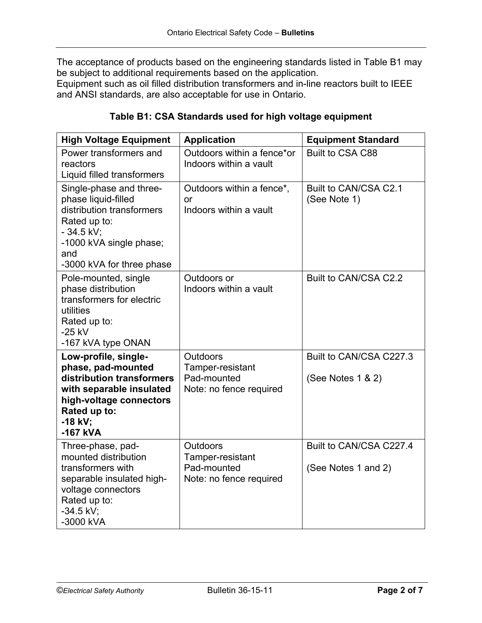The acceptance of products based on the engineering standards listed in Table B1 may be subject to additional requirements based on the application.

Equipment such as oil filled distribution transformers and in-line reactors built to IEEE and ANSI standards, are also acceptable for use in Ontario.

| Table B1: CSA Standards used for high voltage equipment |  |
|---------------------------------------------------------|--|
|---------------------------------------------------------|--|

| <b>High Voltage Equipment</b>                                                                                                                                             | <b>Application</b>                                                            | <b>Equipment Standard</b>                      |
|---------------------------------------------------------------------------------------------------------------------------------------------------------------------------|-------------------------------------------------------------------------------|------------------------------------------------|
| Power transformers and<br>reactors<br>Liquid filled transformers                                                                                                          | Outdoors within a fence*or<br>Indoors within a vault                          | Built to CSA C88                               |
| Single-phase and three-<br>phase liquid-filled<br>distribution transformers<br>Rated up to:<br>$-34.5$ kV;<br>-1000 kVA single phase;<br>and<br>-3000 kVA for three phase | Outdoors within a fence*,<br>or<br>Indoors within a vault                     | Built to CAN/CSA C2.1<br>(See Note 1)          |
| Pole-mounted, single<br>phase distribution<br>transformers for electric<br>utilities<br>Rated up to:<br>$-25$ kV<br>-167 kVA type ONAN                                    | Outdoors or<br>Indoors within a vault                                         | Built to CAN/CSA C2.2                          |
| Low-profile, single-<br>phase, pad-mounted<br>distribution transformers<br>with separable insulated<br>high-voltage connectors<br>Rated up to:<br>$-18$ kV:<br>$-167$ kVA | <b>Outdoors</b><br>Tamper-resistant<br>Pad-mounted<br>Note: no fence required | Built to CAN/CSA C227.3<br>(See Notes 1 & 2)   |
| Three-phase, pad-<br>mounted distribution<br>transformers with<br>separable insulated high-<br>voltage connectors<br>Rated up to:<br>$-34.5$ kV;<br>-3000 kVA             | <b>Outdoors</b><br>Tamper-resistant<br>Pad-mounted<br>Note: no fence required | Built to CAN/CSA C227.4<br>(See Notes 1 and 2) |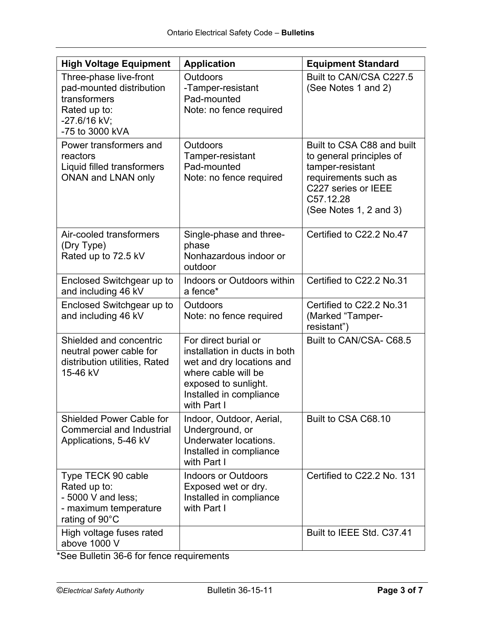| <b>High Voltage Equipment</b>                                                                                         | <b>Application</b>                                                                                                                                                          | <b>Equipment Standard</b>                                                                                                                                        |
|-----------------------------------------------------------------------------------------------------------------------|-----------------------------------------------------------------------------------------------------------------------------------------------------------------------------|------------------------------------------------------------------------------------------------------------------------------------------------------------------|
| Three-phase live-front<br>pad-mounted distribution<br>transformers<br>Rated up to:<br>-27.6/16 kV;<br>-75 to 3000 kVA | Outdoors<br>-Tamper-resistant<br>Pad-mounted<br>Note: no fence required                                                                                                     | Built to CAN/CSA C227.5<br>(See Notes 1 and 2)                                                                                                                   |
| Power transformers and<br>reactors<br>Liquid filled transformers<br><b>ONAN and LNAN only</b>                         | <b>Outdoors</b><br>Tamper-resistant<br>Pad-mounted<br>Note: no fence required                                                                                               | Built to CSA C88 and built<br>to general principles of<br>tamper-resistant<br>requirements such as<br>C227 series or IEEE<br>C57.12.28<br>(See Notes 1, 2 and 3) |
| Air-cooled transformers<br>(Dry Type)<br>Rated up to 72.5 kV                                                          | Single-phase and three-<br>phase<br>Nonhazardous indoor or<br>outdoor                                                                                                       | Certified to C22.2 No.47                                                                                                                                         |
| Enclosed Switchgear up to<br>and including 46 kV                                                                      | Indoors or Outdoors within<br>a fence*                                                                                                                                      | Certified to C22.2 No.31                                                                                                                                         |
| Enclosed Switchgear up to<br>and including 46 kV                                                                      | <b>Outdoors</b><br>Note: no fence required                                                                                                                                  | Certified to C22.2 No.31<br>(Marked "Tamper-<br>resistant")                                                                                                      |
| Shielded and concentric<br>neutral power cable for<br>distribution utilities, Rated<br>15-46 kV                       | For direct burial or<br>installation in ducts in both<br>wet and dry locations and<br>where cable will be<br>exposed to sunlight.<br>Installed in compliance<br>with Part I | Built to CAN/CSA- C68.5                                                                                                                                          |
| <b>Shielded Power Cable for</b><br><b>Commercial and Industrial</b><br>Applications, 5-46 kV                          | Indoor, Outdoor, Aerial,<br>Underground, or<br>Underwater locations.<br>Installed in compliance<br>with Part I                                                              | Built to CSA C68.10                                                                                                                                              |
| Type TECK 90 cable<br>Rated up to:<br>$-5000$ V and less;<br>- maximum temperature<br>rating of 90°C                  | <b>Indoors or Outdoors</b><br>Exposed wet or dry.<br>Installed in compliance<br>with Part I                                                                                 | Certified to C22.2 No. 131                                                                                                                                       |
| High voltage fuses rated<br>above 1000 V                                                                              |                                                                                                                                                                             | Built to IEEE Std. C37.41                                                                                                                                        |

\*See Bulletin 36-6 for fence requirements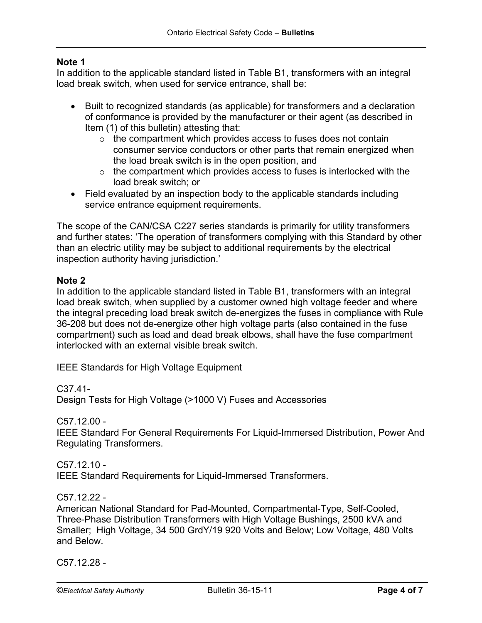## **Note 1**

In addition to the applicable standard listed in Table B1, transformers with an integral load break switch, when used for service entrance, shall be:

- Built to recognized standards (as applicable) for transformers and a declaration of conformance is provided by the manufacturer or their agent (as described in Item (1) of this bulletin) attesting that:
	- $\circ$  the compartment which provides access to fuses does not contain consumer service conductors or other parts that remain energized when the load break switch is in the open position, and
	- $\circ$  the compartment which provides access to fuses is interlocked with the load break switch; or
- Field evaluated by an inspection body to the applicable standards including service entrance equipment requirements.

The scope of the CAN/CSA C227 series standards is primarily for utility transformers and further states: 'The operation of transformers complying with this Standard by other than an electric utility may be subject to additional requirements by the electrical inspection authority having jurisdiction.'

## **Note 2**

In addition to the applicable standard listed in Table B1, transformers with an integral load break switch, when supplied by a customer owned high voltage feeder and where the integral preceding load break switch de-energizes the fuses in compliance with Rule 36-208 but does not de-energize other high voltage parts (also contained in the fuse compartment) such as load and dead break elbows, shall have the fuse compartment interlocked with an external visible break switch.

IEEE Standards for High Voltage Equipment

C37.41-

Design Tests for High Voltage (>1000 V) Fuses and Accessories

C57.12.00 -

IEEE Standard For General Requirements For Liquid-Immersed Distribution, Power And Regulating Transformers.

C57.12.10 - IEEE Standard Requirements for Liquid-Immersed Transformers.

C57.12.22 -

American National Standard for Pad-Mounted, Compartmental-Type, Self-Cooled, Three-Phase Distribution Transformers with High Voltage Bushings, 2500 kVA and Smaller; High Voltage, 34 500 GrdY/19 920 Volts and Below; Low Voltage, 480 Volts and Below.

C57.12.28 -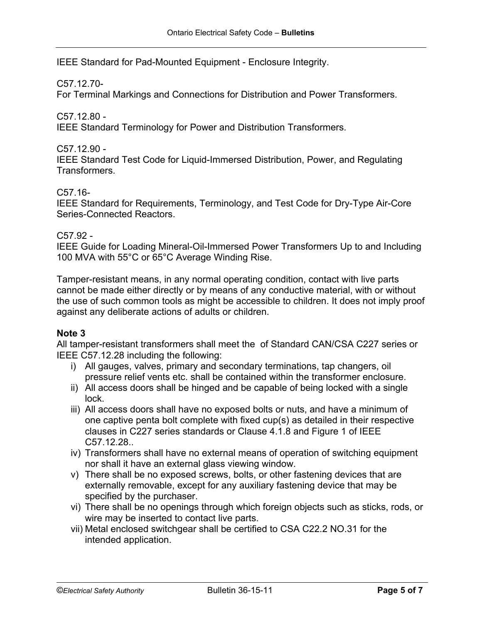IEEE Standard for Pad-Mounted Equipment - Enclosure Integrity.

#### C57.12.70-

For Terminal Markings and Connections for Distribution and Power Transformers.

C57.12.80 -

IEEE Standard Terminology for Power and Distribution Transformers.

C57.12.90 -

IEEE Standard Test Code for Liquid-Immersed Distribution, Power, and Regulating Transformers.

C57.16-

IEEE Standard for Requirements, Terminology, and Test Code for Dry-Type Air-Core Series-Connected Reactors.

#### C57.92 -

IEEE Guide for Loading Mineral-Oil-Immersed Power Transformers Up to and Including 100 MVA with 55°C or 65°C Average Winding Rise.

Tamper-resistant means, in any normal operating condition, contact with live parts cannot be made either directly or by means of any conductive material, with or without the use of such common tools as might be accessible to children. It does not imply proof against any deliberate actions of adults or children.

#### **Note 3**

All tamper-resistant transformers shall meet the of Standard CAN/CSA C227 series or IEEE C57.12.28 including the following:

- i) All gauges, valves, primary and secondary terminations, tap changers, oil pressure relief vents etc. shall be contained within the transformer enclosure.
- ii) All access doors shall be hinged and be capable of being locked with a single lock.
- iii) All access doors shall have no exposed bolts or nuts, and have a minimum of one captive penta bolt complete with fixed cup(s) as detailed in their respective clauses in C227 series standards or Clause 4.1.8 and Figure 1 of IEEE C57.12.28..
- iv) Transformers shall have no external means of operation of switching equipment nor shall it have an external glass viewing window.
- v) There shall be no exposed screws, bolts, or other fastening devices that are externally removable, except for any auxiliary fastening device that may be specified by the purchaser.
- vi) There shall be no openings through which foreign objects such as sticks, rods, or wire may be inserted to contact live parts.
- vii) Metal enclosed switchgear shall be certified to CSA C22.2 NO.31 for the intended application.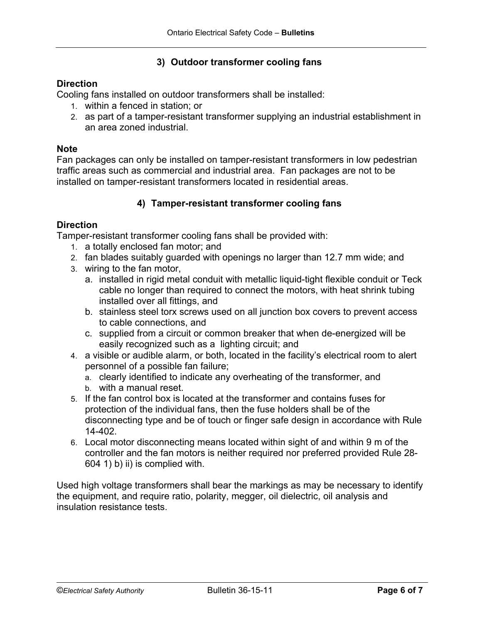## **3) Outdoor transformer cooling fans**

## **Direction**

Cooling fans installed on outdoor transformers shall be installed:

- 1. within a fenced in station; or
- 2. as part of a tamper-resistant transformer supplying an industrial establishment in an area zoned industrial.

#### **Note**

Fan packages can only be installed on tamper-resistant transformers in low pedestrian traffic areas such as commercial and industrial area. Fan packages are not to be installed on tamper-resistant transformers located in residential areas.

## **4) Tamper-resistant transformer cooling fans**

## **Direction**

Tamper-resistant transformer cooling fans shall be provided with:

- 1. a totally enclosed fan motor; and
- 2. fan blades suitably guarded with openings no larger than 12.7 mm wide; and
- 3. wiring to the fan motor,
	- a. installed in rigid metal conduit with metallic liquid-tight flexible conduit or Teck cable no longer than required to connect the motors, with heat shrink tubing installed over all fittings, and
	- b. stainless steel torx screws used on all junction box covers to prevent access to cable connections, and
	- c. supplied from a circuit or common breaker that when de-energized will be easily recognized such as a lighting circuit; and
- 4. a visible or audible alarm, or both, located in the facility's electrical room to alert personnel of a possible fan failure;
	- a. clearly identified to indicate any overheating of the transformer, and
	- b. with a manual reset.
- 5. If the fan control box is located at the transformer and contains fuses for protection of the individual fans, then the fuse holders shall be of the disconnecting type and be of touch or finger safe design in accordance with Rule 14-402.
- 6. Local motor disconnecting means located within sight of and within 9 m of the controller and the fan motors is neither required nor preferred provided Rule 28- 604 1) b) ii) is complied with.

Used high voltage transformers shall bear the markings as may be necessary to identify the equipment, and require ratio, polarity, megger, oil dielectric, oil analysis and insulation resistance tests.